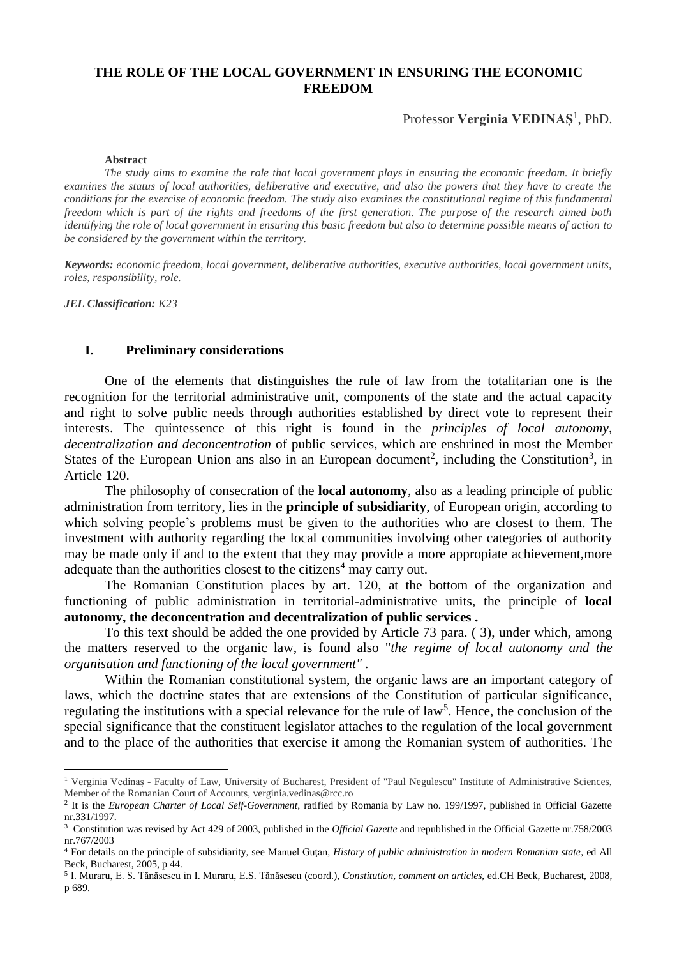# **THE ROLE OF THE LOCAL GOVERNMENT IN ENSURING THE ECONOMIC FREEDOM**

Professor **Verginia VEDINAȘ**<sup>1</sup> , PhD.

#### **Abstract**

*The study aims to examine the role that local government plays in ensuring the economic freedom. It briefly examines the status of local authorities, deliberative and executive, and also the powers that they have to create the conditions for the exercise of economic freedom. The study also examines the constitutional regime of this fundamental freedom which is part of the rights and freedoms of the first generation. The purpose of the research aimed both identifying the role of local government in ensuring this basic freedom but also to determine possible means of action to be considered by the government within the territory.*

*Keywords: economic freedom, local government, deliberative authorities, executive authorities, local government units, roles, responsibility, role.*

*JEL Classification: K23*

**.** 

# **I. Preliminary considerations**

One of the elements that distinguishes the rule of law from the totalitarian one is the recognition for the territorial administrative unit, components of the state and the actual capacity and right to solve public needs through authorities established by direct vote to represent their interests. The quintessence of this right is found in the *principles of local autonomy, decentralization and deconcentration* of public services, which are enshrined in most the Member States of the European Union ans also in an European document<sup>2</sup>, including the Constitution<sup>3</sup>, in Article 120.

The philosophy of consecration of the **local autonomy**, also as a leading principle of public administration from territory, lies in the **principle of subsidiarity**, of European origin, according to which solving people's problems must be given to the authorities who are closest to them. The investment with authority regarding the local communities involving other categories of authority may be made only if and to the extent that they may provide a more appropiate achievement,more adequate than the authorities closest to the citizens<sup>4</sup> may carry out.

The Romanian Constitution places by art. 120, at the bottom of the organization and functioning of public administration in territorial-administrative units, the principle of **local autonomy, the deconcentration and decentralization of public services .**

To this text should be added the one provided by Article 73 para. ( 3), under which, among the matters reserved to the organic law, is found also "*the regime of local autonomy and the organisation and functioning of the local government" .*

Within the Romanian constitutional system, the organic laws are an important category of laws, which the doctrine states that are extensions of the Constitution of particular significance, regulating the institutions with a special relevance for the rule of law<sup>5</sup>. Hence, the conclusion of the special significance that the constituent legislator attaches to the regulation of the local government and to the place of the authorities that exercise it among the Romanian system of authorities. The

<sup>&</sup>lt;sup>1</sup> Verginia Vedinas - Faculty of Law, University of Bucharest, President of "Paul Negulescu" Institute of Administrative Sciences, Member of the Romanian Court of Accounts, verginia.vedinas@rcc.ro

<sup>2</sup> It is the *European Charter of Local Self-Government*, ratified by Romania by Law no. 199/1997, published in Official Gazette nr.331/1997.

<sup>3</sup> Constitution was revised by Act 429 of 2003, published in the *Official Gazette* and republished in the Official Gazette nr.758/2003 nr.767/2003

<sup>4</sup> For details on the principle of subsidiarity, see Manuel Guţan, *History of public administration in modern Romanian state*, ed All Beck, Bucharest, 2005, p 44.

<sup>5</sup> I. Muraru, E. S. Tănăsescu in I. Muraru, E.S. Tănăsescu (coord.), *Constitution, comment on articles*, ed.CH Beck, Bucharest, 2008, p 689.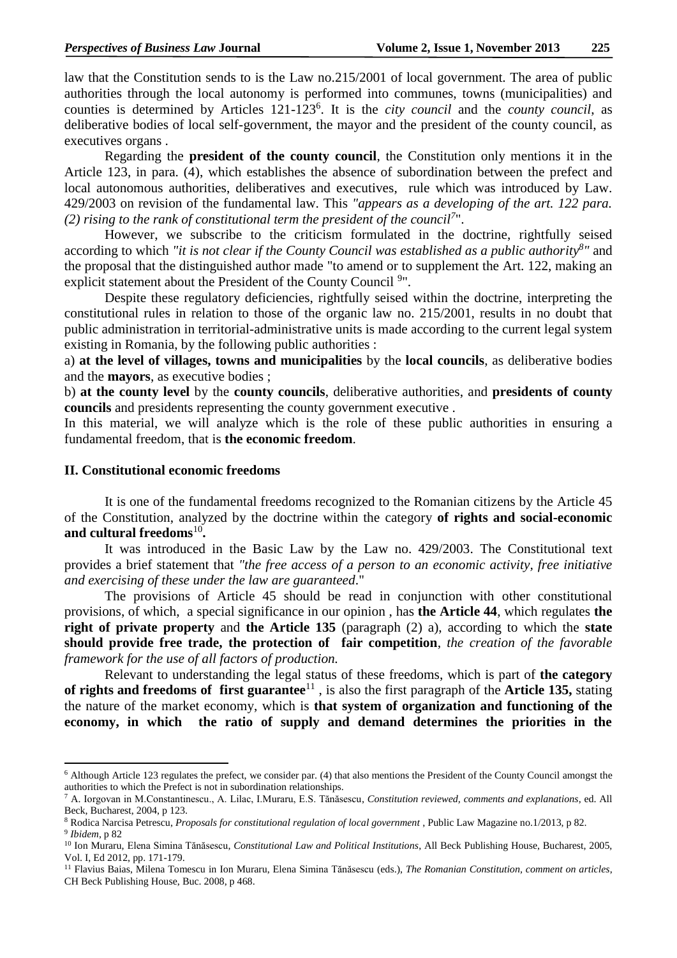law that the Constitution sends to is the Law no.215/2001 of local government. The area of public authorities through the local autonomy is performed into communes, towns (municipalities) and counties is determined by Articles 121-123<sup>6</sup>. It is the *city council* and the *county council*, as deliberative bodies of local self-government, the mayor and the president of the county council, as executives organs .

Regarding the **president of the county council**, the Constitution only mentions it in the Article 123, in para. (4), which establishes the absence of subordination between the prefect and local autonomous authorities, deliberatives and executives, rule which was introduced by Law. 429/2003 on revision of the fundamental law. This *"appears as a developing of the art. 122 para.*  (2) rising to the rank of constitutional term the president of the council<sup>7</sup>".

However, we subscribe to the criticism formulated in the doctrine, rightfully seised according to which "it is not clear if the County Council was established as a public authority<sup>8</sup>" and the proposal that the distinguished author made "to amend or to supplement the Art. 122, making an explicit statement about the President of the County Council 9".

Despite these regulatory deficiencies, rightfully seised within the doctrine, interpreting the constitutional rules in relation to those of the organic law no. 215/2001, results in no doubt that public administration in territorial-administrative units is made according to the current legal system existing in Romania, by the following public authorities :

a) **at the level of villages, towns and municipalities** by the **local councils**, as deliberative bodies and the **mayors**, as executive bodies ;

b) **at the county level** by the **county councils**, deliberative authorities, and **presidents of county councils** and presidents representing the county government executive .

In this material, we will analyze which is the role of these public authorities in ensuring a fundamental freedom, that is **the economic freedom**.

### **II. Constitutional economic freedoms**

**.** 

It is one of the fundamental freedoms recognized to the Romanian citizens by the Article 45 of the Constitution, analyzed by the doctrine within the category **of rights and social-economic**  and cultural freedoms<sup>10</sup>.

It was introduced in the Basic Law by the Law no. 429/2003. The Constitutional text provides a brief statement that *"the free access of a person to an economic activity, free initiative and exercising of these under the law are guaranteed*."

The provisions of Article 45 should be read in conjunction with other constitutional provisions, of which, a special significance in our opinion , has **the Article 44**, which regulates **the right of private property** and **the Article 135** (paragraph (2) a), according to which the **state should provide free trade, the protection of fair competition**, *the creation of the favorable framework for the use of all factors of production.*

Relevant to understanding the legal status of these freedoms, which is part of **the category**  of rights and freedoms of first guarantee<sup>11</sup>, is also the first paragraph of the Article 135, stating the nature of the market economy, which is **that system of organization and functioning of the economy, in which the ratio of supply and demand determines the priorities in the** 

<sup>6</sup> Although Article 123 regulates the prefect, we consider par. (4) that also mentions the President of the County Council amongst the authorities to which the Prefect is not in subordination relationships.

<sup>7</sup> A. Iorgovan in M.Constantinescu., A. Lilac, I.Muraru, E.S. Tănăsescu, *Constitution reviewed, comments and explanations*, ed. All Beck, Bucharest, 2004, p 123.

<sup>8</sup> Rodica Narcisa Petrescu, *Proposals for constitutional regulation of local government* , Public Law Magazine no.1/2013, p 82. 9 *Ibidem*, p 82

<sup>&</sup>lt;sup>10</sup> Ion Muraru, Elena Simina Tănăsescu, *Constitutional Law and Political Institutions*, All Beck Publishing House, Bucharest, 2005, Vol. I, Ed 2012, pp. 171-179.

<sup>11</sup> Flavius Baias, Milena Tomescu in Ion Muraru, Elena Simina Tănăsescu (eds.), *The Romanian Constitution, comment on articles*, CH Beck Publishing House, Buc. 2008, p 468.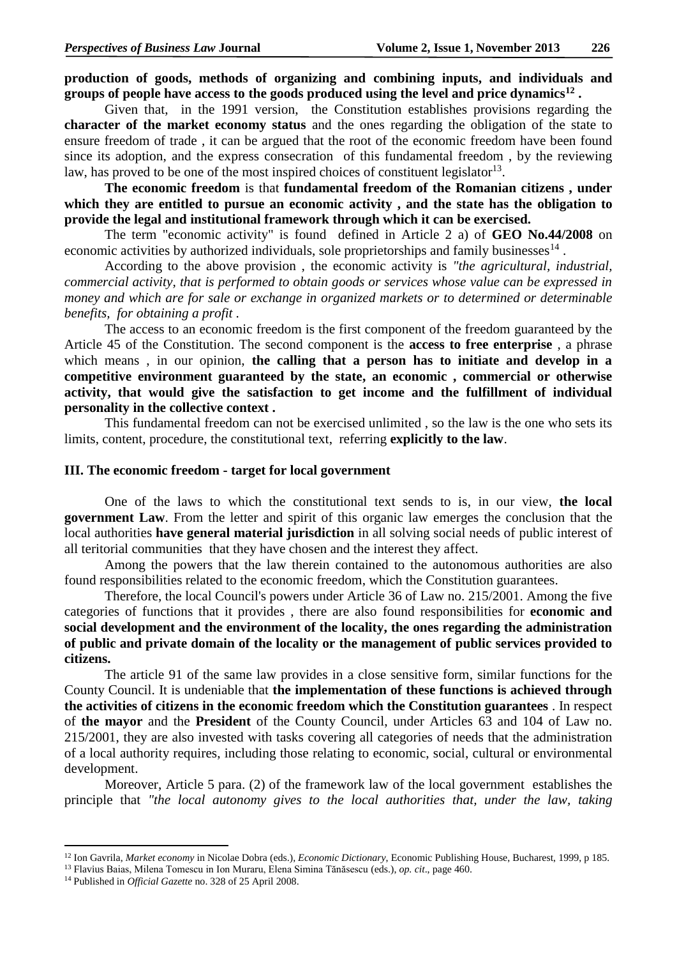**production of goods, methods of organizing and combining inputs, and individuals and groups of people have access to the goods produced using the level and price dynamics<sup>12</sup> .**

Given that, in the 1991 version, the Constitution establishes provisions regarding the **character of the market economy status** and the ones regarding the obligation of the state to ensure freedom of trade , it can be argued that the root of the economic freedom have been found since its adoption, and the express consecration of this fundamental freedom , by the reviewing law, has proved to be one of the most inspired choices of constituent legislator<sup>13</sup>.

**The economic freedom** is that **fundamental freedom of the Romanian citizens , under which they are entitled to pursue an economic activity , and the state has the obligation to provide the legal and institutional framework through which it can be exercised.**

The term "economic activity" is found defined in Article 2 a) of **GEO No.44/2008** on economic activities by authorized individuals, sole proprietorships and family businesses $^{14}$ .

According to the above provision , the economic activity is *"the agricultural, industrial, commercial activity, that is performed to obtain goods or services whose value can be expressed in money and which are for sale or exchange in organized markets or to determined or determinable benefits, for obtaining a profit .*

The access to an economic freedom is the first component of the freedom guaranteed by the Article 45 of the Constitution. The second component is the **access to free enterprise** , a phrase which means , in our opinion, **the calling that a person has to initiate and develop in a competitive environment guaranteed by the state, an economic , commercial or otherwise activity, that would give the satisfaction to get income and the fulfillment of individual personality in the collective context .**

This fundamental freedom can not be exercised unlimited , so the law is the one who sets its limits, content, procedure, the constitutional text, referring **explicitly to the law**.

#### **III. The economic freedom - target for local government**

One of the laws to which the constitutional text sends to is, in our view, **the local government Law**. From the letter and spirit of this organic law emerges the conclusion that the local authorities **have general material jurisdiction** in all solving social needs of public interest of all teritorial communities that they have chosen and the interest they affect.

Among the powers that the law therein contained to the autonomous authorities are also found responsibilities related to the economic freedom, which the Constitution guarantees.

Therefore, the local Council's powers under Article 36 of Law no. 215/2001. Among the five categories of functions that it provides , there are also found responsibilities for **economic and social development and the environment of the locality, the ones regarding the administration of public and private domain of the locality or the management of public services provided to citizens.**

The article 91 of the same law provides in a close sensitive form, similar functions for the County Council. It is undeniable that **the implementation of these functions is achieved through the activities of citizens in the economic freedom which the Constitution guarantees** . In respect of **the mayor** and the **President** of the County Council, under Articles 63 and 104 of Law no. 215/2001, they are also invested with tasks covering all categories of needs that the administration of a local authority requires, including those relating to economic, social, cultural or environmental development.

Moreover, Article 5 para. (2) of the framework law of the local government establishes the principle that *"the local autonomy gives to the local authorities that, under the law, taking* 

1

<sup>12</sup> Ion Gavrila, *Market economy* in Nicolae Dobra (eds.), *Economic Dictionary*, Economic Publishing House, Bucharest, 1999, p 185.

<sup>13</sup> Flavius Baias, Milena Tomescu in Ion Muraru, Elena Simina Tănăsescu (eds.), *op. cit*., page 460.

<sup>14</sup> Published in *Official Gazette* no. 328 of 25 April 2008.